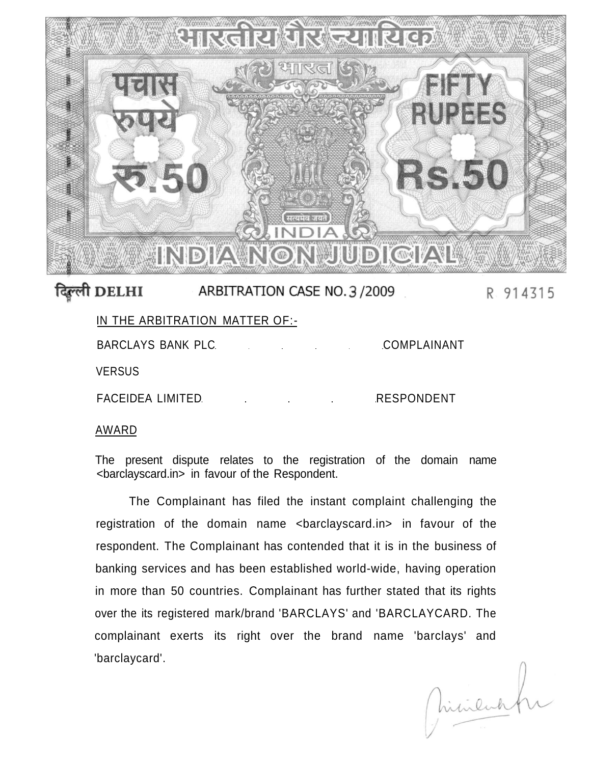

## दिल्ली DELHI ARBITRATION CASE NO. 3 / 2009 R 914315

| IN THE ARBITRATION MATTER OF:- |  |  |             |
|--------------------------------|--|--|-------------|
| BARCLAYS BANK PLC              |  |  | COMPLAINANT |
| <b>VERSUS</b>                  |  |  |             |

FACEIDEA LIMITED **RESPONDENT** 

## AWARD

The present dispute relates to the registration of the domain name <barclayscard.in> in favour of the Respondent.

The Complainant has filed the instant complaint challenging the registration of the domain name <br/>barclayscard.in> in favour of the respondent. The Complainant has contended that it is in the business of banking services and has been established world-wide, having operation in more than 50 countries. Complainant has further stated that its rights over the its registered mark/brand 'BARCLAYS' and 'BARCLAYCARD. The complainant exerts its right over the brand name 'barclays' and 'barclaycard'.

Chinenkhi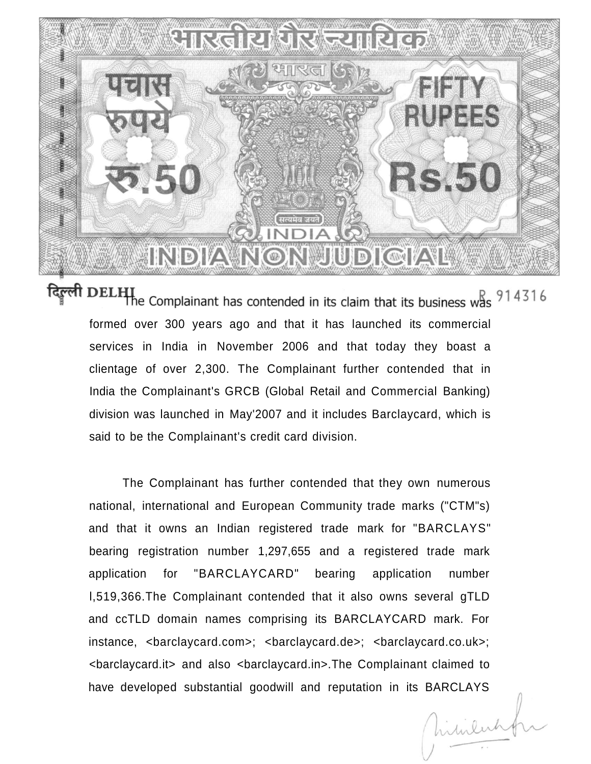

दिल्ली DELHI Complainant has contended in its claim that its business was 914316 formed over 300 years ago and that it has launched its commercial services in India in November 2006 and that today they boast a clientage of over 2,300. The Complainant further contended that in India the Complainant's GRCB (Global Retail and Commercial Banking) division was launched in May'2007 and it includes Barclaycard, which is said to be the Complainant's credit card division.

The Complainant has further contended that they own numerous national, international and European Community trade marks ("CTM"s) and that it owns an Indian registered trade mark for "BARCLAYS" bearing registration number 1,297,655 and a registered trade mark application for "BARCLAYCARD" bearing application number l,519,366.The Complainant contended that it also owns several gTLD and ccTLD domain names comprising its BARCLAYCARD mark. For instance, <br />
stance, <br />
detail>
detail>
detail>
detail>
detail>
detail>
detail>
detail>
detail>
detail>
detail>
detail>
detail>
detail>
detail>
detail>
detail>
detail>
detail>
detail>
detail>
detail>
detail>
detail <barclaycard.it> and also <barclaycard.in>.The Complainant claimed to have developed substantial goodwill and reputation in its BARCLAYS

Virtulate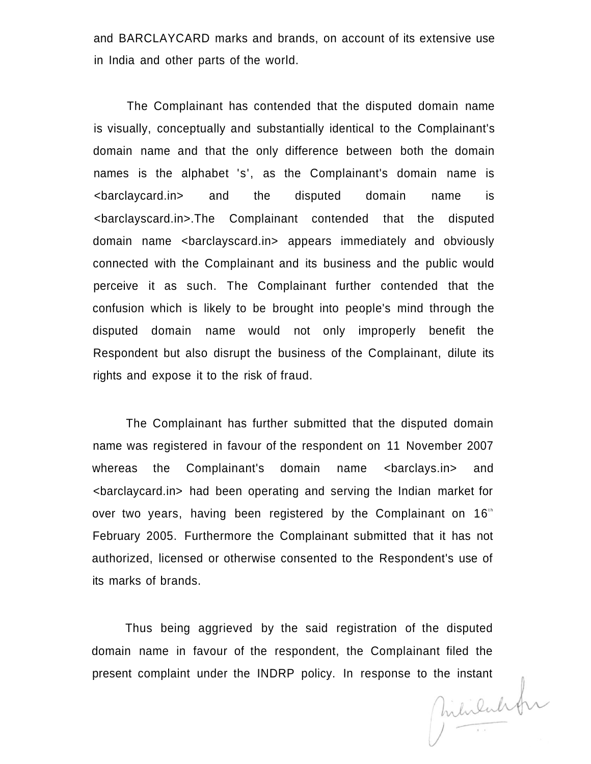and BARCLAYCARD marks and brands, on account of its extensive use in India and other parts of the world.

The Complainant has contended that the disputed domain name is visually, conceptually and substantially identical to the Complainant's domain name and that the only difference between both the domain names is the alphabet 's', as the Complainant's domain name is <barclaycard.in> and the disputed domain name is <barclayscard.in>.The Complainant contended that the disputed domain name <barclayscard.in> appears immediately and obviously connected with the Complainant and its business and the public would perceive it as such. The Complainant further contended that the confusion which is likely to be brought into people's mind through the disputed domain name would not only improperly benefit the Respondent but also disrupt the business of the Complainant, dilute its rights and expose it to the risk of fraud.

The Complainant has further submitted that the disputed domain name was registered in favour of the respondent on 11 November 2007 whereas the Complainant's domain name <br />barclays.in> and <barclaycard.in> had been operating and serving the Indian market for over two years, having been registered by the Complainant on  $16<sup>th</sup>$ February 2005. Furthermore the Complainant submitted that it has not authorized, licensed or otherwise consented to the Respondent's use of its marks of brands.

Thus being aggrieved by the said registration of the disputed domain name in favour of the respondent, the Complainant filed the

present complaint under the INDRP policy. In response to the instant<br> $\int \mathbf{h} \cdot \mathbf{h} \cdot \mathbf{h} \cdot \mathbf{h} \cdot \mathbf{h} \cdot \mathbf{h} \cdot \mathbf{h} \cdot \mathbf{h} \cdot \mathbf{h} \cdot \mathbf{h} \cdot \mathbf{h} \cdot \mathbf{h} \cdot \mathbf{h} \cdot \mathbf{h} \cdot \mathbf{h} \cdot \mathbf{h} \cdot \mathbf{h} \cdot \mathbf{h} \cdot \mathbf{h$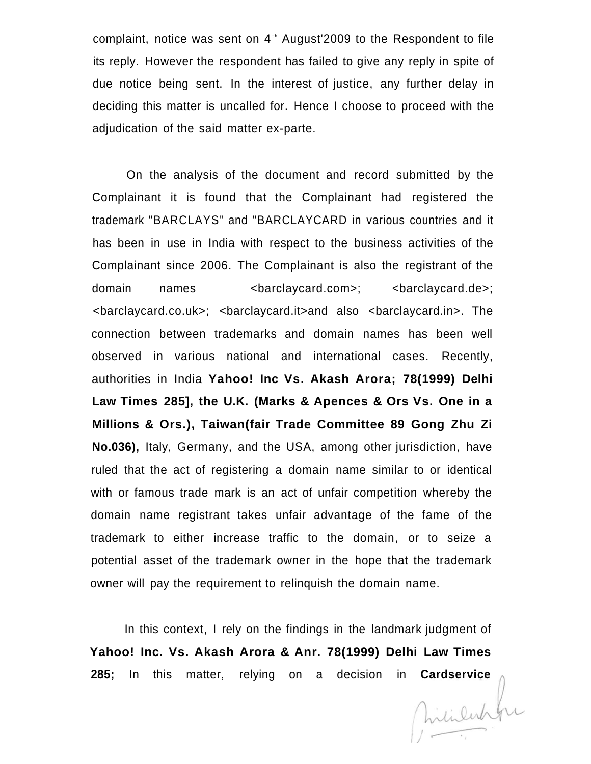complaint, notice was sent on 4<sup>th</sup> August'2009 to the Respondent to file its reply. However the respondent has failed to give any reply in spite of due notice being sent. In the interest of justice, any further delay in deciding this matter is uncalled for. Hence I choose to proceed with the adjudication of the said matter ex-parte.

On the analysis of the document and record submitted by the Complainant it is found that the Complainant had registered the trademark "BARCLAYS" and "BARCLAYCARD in various countries and it has been in use in India with respect to the business activities of the Complainant since 2006. The Complainant is also the registrant of the domain names <br />
domain names <br />
domain names <br />
domain names <br />
domain and<br />
domain and  $\leq$  />
domain and  $\leq$  />
domain and  $\leq$  />
domain and  $\leq$  />
domain and  $\leq$  />
domain and  $\leq$  />
domai <barclaycard.co.uk>; <barclaycard.it>and also <barclaycard.in>. The connection between trademarks and domain names has been well observed in various national and international cases. Recently, authorities in India **Yahoo! Inc Vs. Akash Arora; 78(1999) Delhi Law Times 285], the U.K. (Marks & Apences & Ors Vs. One in a Millions & Ors.), Taiwan(fair Trade Committee 89 Gong Zhu Zi No.036),** Italy, Germany, and the USA, among other jurisdiction, have ruled that the act of registering a domain name similar to or identical with or famous trade mark is an act of unfair competition whereby the domain name registrant takes unfair advantage of the fame of the trademark to either increase traffic to the domain, or to seize a potential asset of the trademark owner in the hope that the trademark owner will pay the requirement to relinquish the domain name.

In this context, I rely on the findings in the landmark judgment of **Yahoo! Inc. Vs. Akash Arora & Anr. 78(1999) Delhi Law Times** 

**285;** In this matter, relying on a decision in **Cardservice** and the matter of the control of the control of the control of the control of the control of the control of the control of the control of the control of the con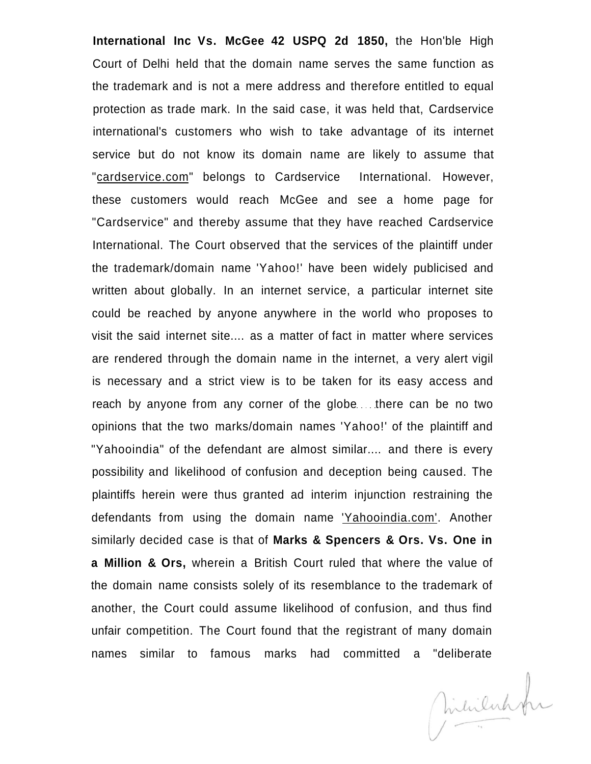**International Inc Vs. McGee 42 USPQ 2d 1850,** the Hon'ble High Court of Delhi held that the domain name serves the same function as the trademark and is not a mere address and therefore entitled to equal protection as trade mark. In the said case, it was held that, Cardservice international's customers who wish to take advantage of its internet service but do not know its domain name are likely to assume that "[cardservice.com"](http://cardservice.com) belongs to Cardservice International. However, these customers would reach McGee and see a home page for "Cardservice" and thereby assume that they have reached Cardservice International. The Court observed that the services of the plaintiff under the trademark/domain name 'Yahoo!' have been widely publicised and written about globally. In an internet service, a particular internet site could be reached by anyone anywhere in the world who proposes to visit the said internet site.... as a matter of fact in matter where services are rendered through the domain name in the internet, a very alert vigil is necessary and a strict view is to be taken for its easy access and reach by anyone from any corner of the globe...there can be no two opinions that the two marks/domain names 'Yahoo!' of the plaintiff and "Yahooindia" of the defendant are almost similar.... and there is every possibility and likelihood of confusion and deception being caused. The plaintiffs herein were thus granted ad interim injunction restraining the defendants from using the domain name ['Yahooindia.com'.](http://) Another similarly decided case is that of **Marks & Spencers & Ors. Vs. One in a Million & Ors,** wherein a British Court ruled that where the value of the domain name consists solely of its resemblance to the trademark of another, the Court could assume likelihood of confusion, and thus find unfair competition. The Court found that the registrant of many domain names similar to famous marks had committed a "deliberate

Mililahhr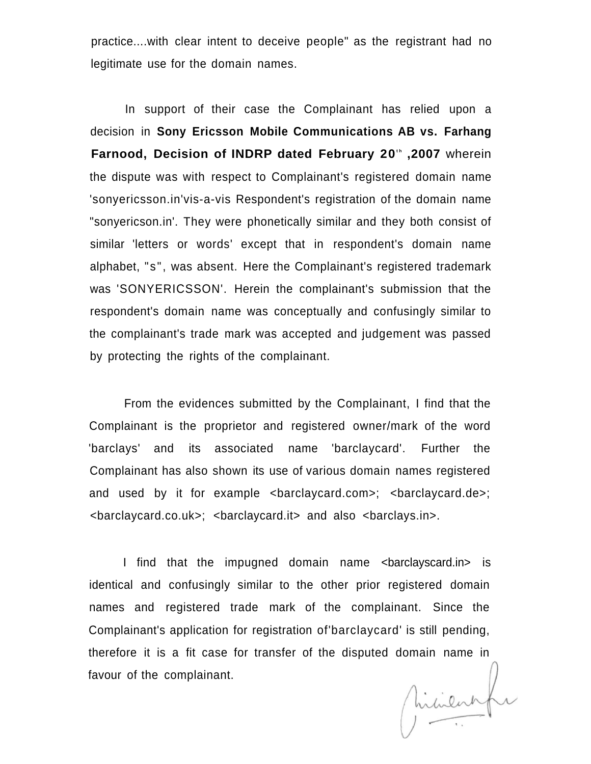practice....with clear intent to deceive people" as the registrant had no legitimate use for the domain names.

In support of their case the Complainant has relied upon a decision in **Sony Ericsson Mobile Communications AB vs. Farhang Farnood, Decision of INDRP dated February 20<sup>t</sup> <sup>h</sup> ,2007** wherein the dispute was with respect to Complainant's registered domain name 'sonyericsson.in'vis-a-vis Respondent's registration of the domain name "sonyericson.in'. They were phonetically similar and they both consist of similar 'letters or words' except that in respondent's domain name alphabet, "s", was absent. Here the Complainant's registered trademark was 'SONYERICSSON'. Herein the complainant's submission that the respondent's domain name was conceptually and confusingly similar to the complainant's trade mark was accepted and judgement was passed by protecting the rights of the complainant.

From the evidences submitted by the Complainant, I find that the Complainant is the proprietor and registered owner/mark of the word 'barclays' and its associated name 'barclaycard'. Further the Complainant has also shown its use of various domain names registered and used by it for example <br />barclaycard.com>; <br />barclaycard.de>; <barclaycard.co.uk>; <barclaycard.it> and also <barclays.in>.

I find that the impugned domain name <br/>barclayscard.in> is identical and confusingly similar to the other prior registered domain names and registered trade mark of the complainant. Since the Complainant's application for registration of'barclaycard' is still pending, therefore it is a fit case for transfer of the disputed domain name in<br>favour of the complainant.<br> $\int \mathbf{h} \cdot \mathbf{h} \cdot \mathbf{h} \cdot \mathbf{h} \cdot \mathbf{h} \cdot \mathbf{h} \cdot \mathbf{h} \cdot \mathbf{h} \cdot \mathbf{h} \cdot \mathbf{h} \cdot \mathbf{h} \cdot \mathbf{h} \cdot \mathbf{h} \cdot \mathbf{h} \cdot \mathbf{h} \cdot$ favour of the complainant.